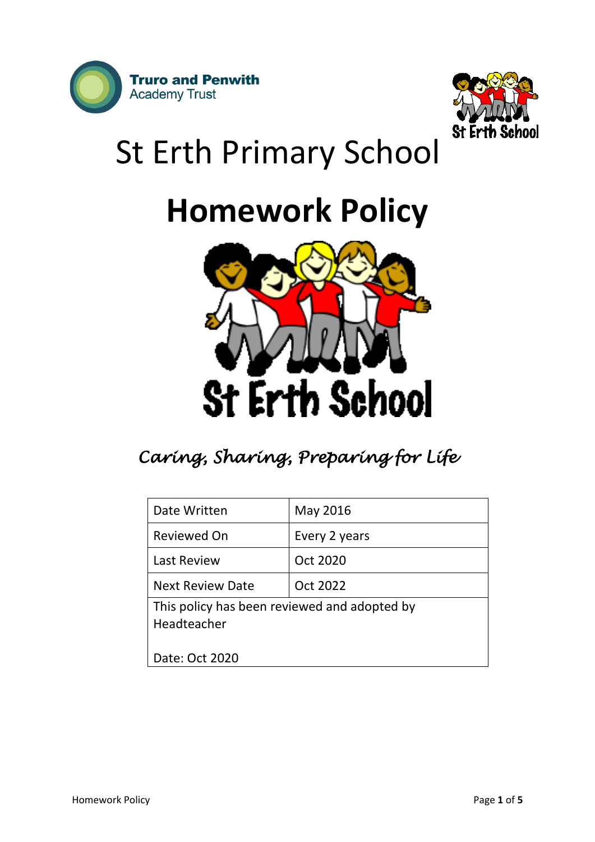



# St Erth Primary School

## **Homework Policy**



## *Caring, Sharing, Preparing for Life*

| Date Written                                                | May 2016      |
|-------------------------------------------------------------|---------------|
| Reviewed On                                                 | Every 2 years |
| <b>Last Review</b>                                          | Oct 2020      |
| <b>Next Review Date</b>                                     | Oct 2022      |
| This policy has been reviewed and adopted by<br>Headteacher |               |
| Date: Oct 2020                                              |               |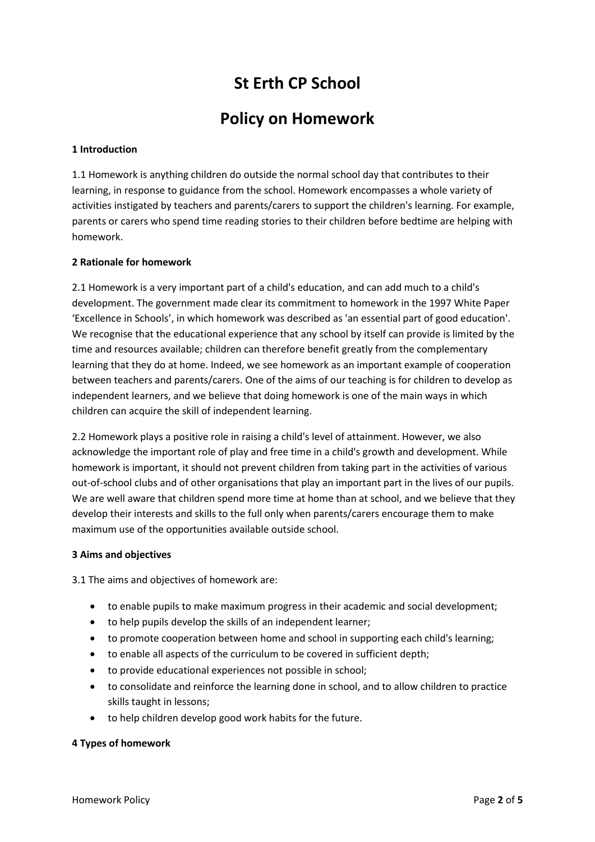### **St Erth CP School**

### **Policy on Homework**

#### **1 Introduction**

1.1 Homework is anything children do outside the normal school day that contributes to their learning, in response to guidance from the school. Homework encompasses a whole variety of activities instigated by teachers and parents/carers to support the children's learning. For example, parents or carers who spend time reading stories to their children before bedtime are helping with homework.

#### **2 Rationale for homework**

2.1 Homework is a very important part of a child's education, and can add much to a child's development. The government made clear its commitment to homework in the 1997 White Paper 'Excellence in Schools', in which homework was described as 'an essential part of good education'. We recognise that the educational experience that any school by itself can provide is limited by the time and resources available; children can therefore benefit greatly from the complementary learning that they do at home. Indeed, we see homework as an important example of cooperation between teachers and parents/carers. One of the aims of our teaching is for children to develop as independent learners, and we believe that doing homework is one of the main ways in which children can acquire the skill of independent learning.

2.2 Homework plays a positive role in raising a child's level of attainment. However, we also acknowledge the important role of play and free time in a child's growth and development. While homework is important, it should not prevent children from taking part in the activities of various out-of-school clubs and of other organisations that play an important part in the lives of our pupils. We are well aware that children spend more time at home than at school, and we believe that they develop their interests and skills to the full only when parents/carers encourage them to make maximum use of the opportunities available outside school.

#### **3 Aims and objectives**

3.1 The aims and objectives of homework are:

- to enable pupils to make maximum progress in their academic and social development;
- to help pupils develop the skills of an independent learner;
- to promote cooperation between home and school in supporting each child's learning;
- to enable all aspects of the curriculum to be covered in sufficient depth;
- to provide educational experiences not possible in school;
- to consolidate and reinforce the learning done in school, and to allow children to practice skills taught in lessons;
- to help children develop good work habits for the future.

#### **4 Types of homework**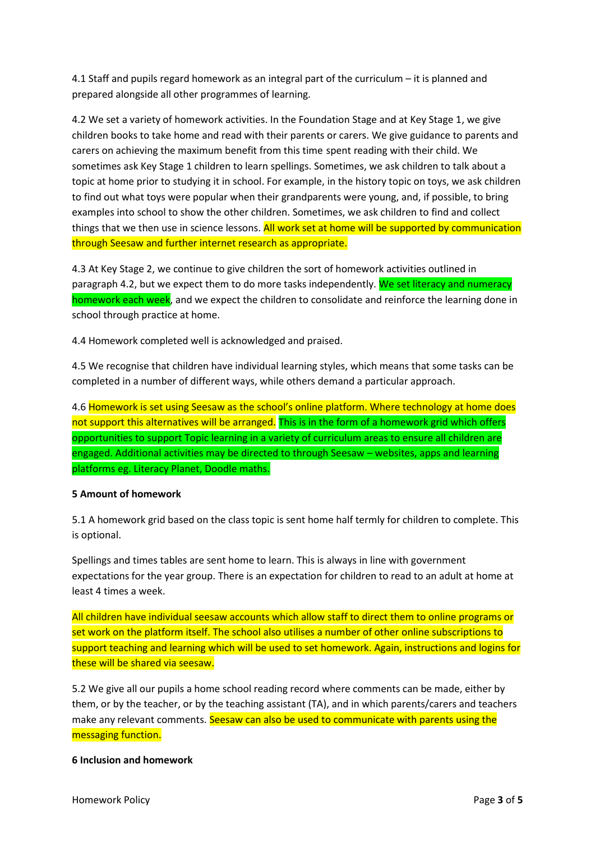4.1 Staff and pupils regard homework as an integral part of the curriculum – it is planned and prepared alongside all other programmes of learning.

4.2 We set a variety of homework activities. In the Foundation Stage and at Key Stage 1, we give children books to take home and read with their parents or carers. We give guidance to parents and carers on achieving the maximum benefit from this time spent reading with their child. We sometimes ask Key Stage 1 children to learn spellings. Sometimes, we ask children to talk about a topic at home prior to studying it in school. For example, in the history topic on toys, we ask children to find out what toys were popular when their grandparents were young, and, if possible, to bring examples into school to show the other children. Sometimes, we ask children to find and collect things that we then use in science lessons. All work set at home will be supported by communication through Seesaw and further internet research as appropriate.

4.3 At Key Stage 2, we continue to give children the sort of homework activities outlined in paragraph 4.2, but we expect them to do more tasks independently. We set literacy and numeracy homework each week, and we expect the children to consolidate and reinforce the learning done in school through practice at home.

4.4 Homework completed well is acknowledged and praised.

4.5 We recognise that children have individual learning styles, which means that some tasks can be completed in a number of different ways, while others demand a particular approach.

4.6 Homework is set using Seesaw as the school's online platform. Where technology at home does not support this alternatives will be arranged. This is in the form of a homework grid which offers opportunities to support Topic learning in a variety of curriculum areas to ensure all children are engaged. Additional activities may be directed to through Seesaw – websites, apps and learning platforms eg. Literacy Planet, Doodle maths.

#### **5 Amount of homework**

5.1 A homework grid based on the class topic is sent home half termly for children to complete. This is optional.

Spellings and times tables are sent home to learn. This is always in line with government expectations for the year group. There is an expectation for children to read to an adult at home at least 4 times a week.

All children have individual seesaw accounts which allow staff to direct them to online programs or set work on the platform itself. The school also utilises a number of other online subscriptions to support teaching and learning which will be used to set homework. Again, instructions and logins for these will be shared via seesaw.

5.2 We give all our pupils a home school reading record where comments can be made, either by them, or by the teacher, or by the teaching assistant (TA), and in which parents/carers and teachers make any relevant comments. Seesaw can also be used to communicate with parents using the messaging function.

#### **6 Inclusion and homework**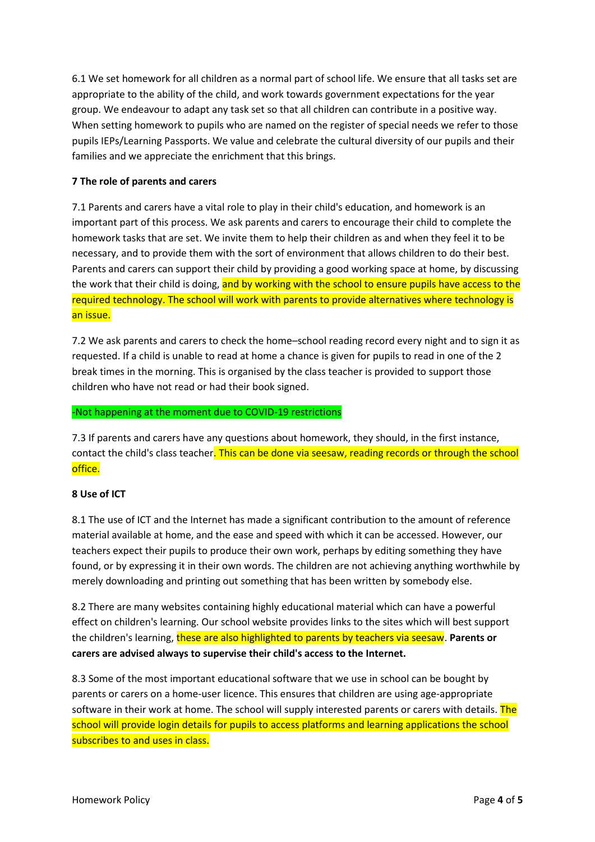6.1 We set homework for all children as a normal part of school life. We ensure that all tasks set are appropriate to the ability of the child, and work towards government expectations for the year group. We endeavour to adapt any task set so that all children can contribute in a positive way. When setting homework to pupils who are named on the register of special needs we refer to those pupils IEPs/Learning Passports. We value and celebrate the cultural diversity of our pupils and their families and we appreciate the enrichment that this brings.

#### **7 The role of parents and carers**

7.1 Parents and carers have a vital role to play in their child's education, and homework is an important part of this process. We ask parents and carers to encourage their child to complete the homework tasks that are set. We invite them to help their children as and when they feel it to be necessary, and to provide them with the sort of environment that allows children to do their best. Parents and carers can support their child by providing a good working space at home, by discussing the work that their child is doing, and by working with the school to ensure pupils have access to the required technology. The school will work with parents to provide alternatives where technology is an issue.

7.2 We ask parents and carers to check the home–school reading record every night and to sign it as requested. If a child is unable to read at home a chance is given for pupils to read in one of the 2 break times in the morning. This is organised by the class teacher is provided to support those children who have not read or had their book signed.

#### -Not happening at the moment due to COVID-19 restrictions

7.3 If parents and carers have any questions about homework, they should, in the first instance, contact the child's class teacher. This can be done via seesaw, reading records or through the school office.

#### **8 Use of ICT**

8.1 The use of ICT and the Internet has made a significant contribution to the amount of reference material available at home, and the ease and speed with which it can be accessed. However, our teachers expect their pupils to produce their own work, perhaps by editing something they have found, or by expressing it in their own words. The children are not achieving anything worthwhile by merely downloading and printing out something that has been written by somebody else.

8.2 There are many websites containing highly educational material which can have a powerful effect on children's learning. Our school website provides links to the sites which will best support the children's learning, these are also highlighted to parents by teachers via seesaw. **Parents or carers are advised always to supervise their child's access to the Internet.** 

8.3 Some of the most important educational software that we use in school can be bought by parents or carers on a home-user licence. This ensures that children are using age-appropriate software in their work at home. The school will supply interested parents or carers with details. The school will provide login details for pupils to access platforms and learning applications the school subscribes to and uses in class.